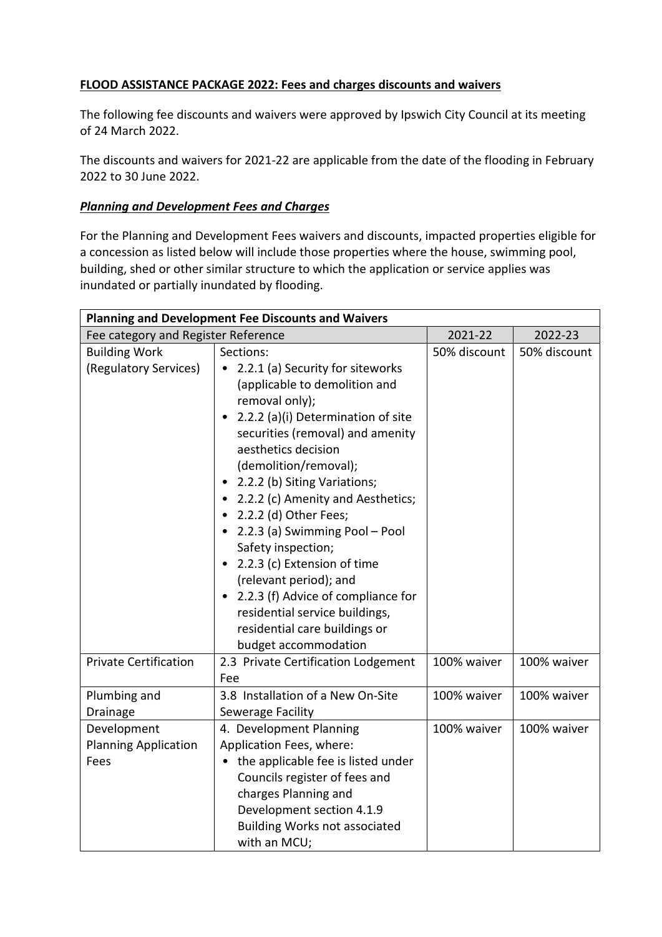# **FLOOD ASSISTANCE PACKAGE 2022: Fees and charges discounts and waivers**

The following fee discounts and waivers were approved by Ipswich City Council at its meeting of 24 March 2022.

The discounts and waivers for 2021-22 are applicable from the date of the flooding in February 2022 to 30 June 2022.

## *Planning and Development Fees and Charges*

For the Planning and Development Fees waivers and discounts, impacted properties eligible for a concession as listed below will include those properties where the house, swimming pool, building, shed or other similar structure to which the application or service applies was inundated or partially inundated by flooding.

| <b>Planning and Development Fee Discounts and Waivers</b> |                                                                                                                                                                                                                                                                                                                                                                                                                                                                                                                                                                            |              |              |  |  |
|-----------------------------------------------------------|----------------------------------------------------------------------------------------------------------------------------------------------------------------------------------------------------------------------------------------------------------------------------------------------------------------------------------------------------------------------------------------------------------------------------------------------------------------------------------------------------------------------------------------------------------------------------|--------------|--------------|--|--|
| Fee category and Register Reference                       |                                                                                                                                                                                                                                                                                                                                                                                                                                                                                                                                                                            | 2021-22      | 2022-23      |  |  |
| <b>Building Work</b><br>(Regulatory Services)             | Sections:<br>2.2.1 (a) Security for siteworks<br>(applicable to demolition and<br>removal only);<br>2.2.2 (a)(i) Determination of site<br>securities (removal) and amenity<br>aesthetics decision<br>(demolition/removal);<br>2.2.2 (b) Siting Variations;<br>2.2.2 (c) Amenity and Aesthetics;<br>2.2.2 (d) Other Fees;<br>2.2.3 (a) Swimming Pool - Pool<br>Safety inspection;<br>2.2.3 (c) Extension of time<br>(relevant period); and<br>2.2.3 (f) Advice of compliance for<br>residential service buildings,<br>residential care buildings or<br>budget accommodation | 50% discount | 50% discount |  |  |
| <b>Private Certification</b>                              | 2.3 Private Certification Lodgement<br>Fee                                                                                                                                                                                                                                                                                                                                                                                                                                                                                                                                 | 100% waiver  | 100% waiver  |  |  |
| Plumbing and<br>Drainage                                  | 3.8 Installation of a New On-Site<br>Sewerage Facility                                                                                                                                                                                                                                                                                                                                                                                                                                                                                                                     | 100% waiver  | 100% waiver  |  |  |
| Development<br><b>Planning Application</b><br>Fees        | 4. Development Planning<br>Application Fees, where:<br>the applicable fee is listed under<br>Councils register of fees and<br>charges Planning and<br>Development section 4.1.9<br><b>Building Works not associated</b><br>with an MCU;                                                                                                                                                                                                                                                                                                                                    | 100% waiver  | 100% waiver  |  |  |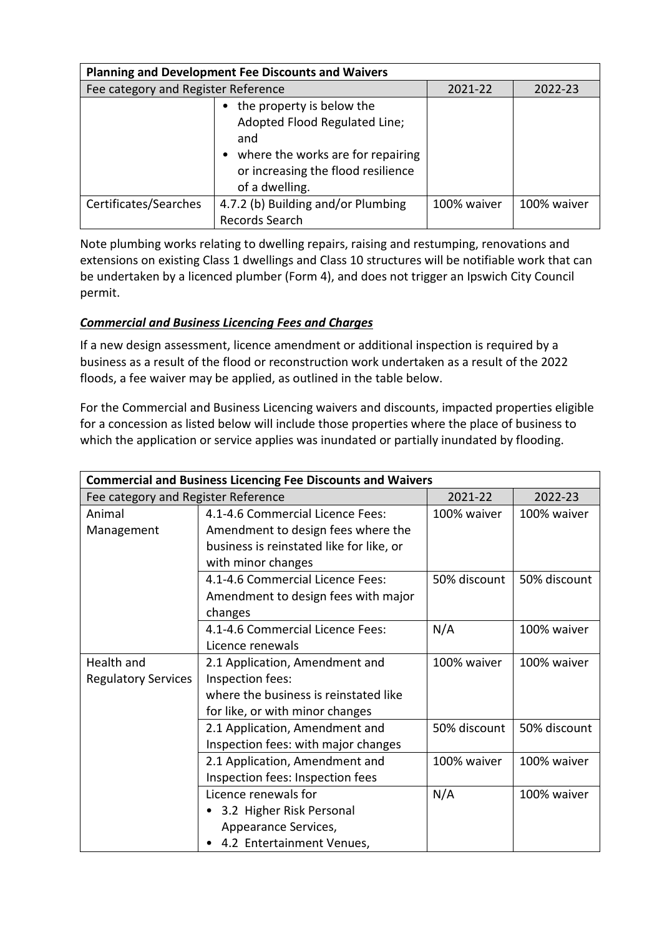| <b>Planning and Development Fee Discounts and Waivers</b> |                                                                                                                                                                |             |             |  |  |
|-----------------------------------------------------------|----------------------------------------------------------------------------------------------------------------------------------------------------------------|-------------|-------------|--|--|
| Fee category and Register Reference                       |                                                                                                                                                                | 2021-22     | 2022-23     |  |  |
|                                                           | the property is below the<br>Adopted Flood Regulated Line;<br>and<br>where the works are for repairing<br>or increasing the flood resilience<br>of a dwelling. |             |             |  |  |
| Certificates/Searches                                     | 4.7.2 (b) Building and/or Plumbing<br>Records Search                                                                                                           | 100% waiver | 100% waiver |  |  |

Note plumbing works relating to dwelling repairs, raising and restumping, renovations and extensions on existing Class 1 dwellings and Class 10 structures will be notifiable work that can be undertaken by a licenced plumber (Form 4), and does not trigger an Ipswich City Council permit.

# *Commercial and Business Licencing Fees and Charges*

If a new design assessment, licence amendment or additional inspection is required by a business as a result of the flood or reconstruction work undertaken as a result of the 2022 floods, a fee waiver may be applied, as outlined in the table below.

For the Commercial and Business Licencing waivers and discounts, impacted properties eligible for a concession as listed below will include those properties where the place of business to which the application or service applies was inundated or partially inundated by flooding.

| <b>Commercial and Business Licencing Fee Discounts and Waivers</b> |                                          |              |              |  |
|--------------------------------------------------------------------|------------------------------------------|--------------|--------------|--|
| Fee category and Register Reference                                |                                          | 2021-22      | 2022-23      |  |
| Animal                                                             | 4.1-4.6 Commercial Licence Fees:         | 100% waiver  | 100% waiver  |  |
| Management                                                         | Amendment to design fees where the       |              |              |  |
|                                                                    | business is reinstated like for like, or |              |              |  |
|                                                                    | with minor changes                       |              |              |  |
|                                                                    | 4.1-4.6 Commercial Licence Fees:         | 50% discount | 50% discount |  |
|                                                                    | Amendment to design fees with major      |              |              |  |
|                                                                    | changes                                  |              |              |  |
|                                                                    | 4.1-4.6 Commercial Licence Fees:         | N/A          | 100% waiver  |  |
|                                                                    | Licence renewals                         |              |              |  |
| Health and                                                         | 2.1 Application, Amendment and           | 100% waiver  | 100% waiver  |  |
| <b>Regulatory Services</b>                                         | Inspection fees:                         |              |              |  |
|                                                                    | where the business is reinstated like    |              |              |  |
|                                                                    | for like, or with minor changes          |              |              |  |
|                                                                    | 2.1 Application, Amendment and           | 50% discount | 50% discount |  |
|                                                                    | Inspection fees: with major changes      |              |              |  |
|                                                                    | 2.1 Application, Amendment and           | 100% waiver  | 100% waiver  |  |
|                                                                    | Inspection fees: Inspection fees         |              |              |  |
|                                                                    | Licence renewals for                     | N/A          | 100% waiver  |  |
|                                                                    | 3.2 Higher Risk Personal                 |              |              |  |
|                                                                    | Appearance Services,                     |              |              |  |
|                                                                    | 4.2 Entertainment Venues,                |              |              |  |